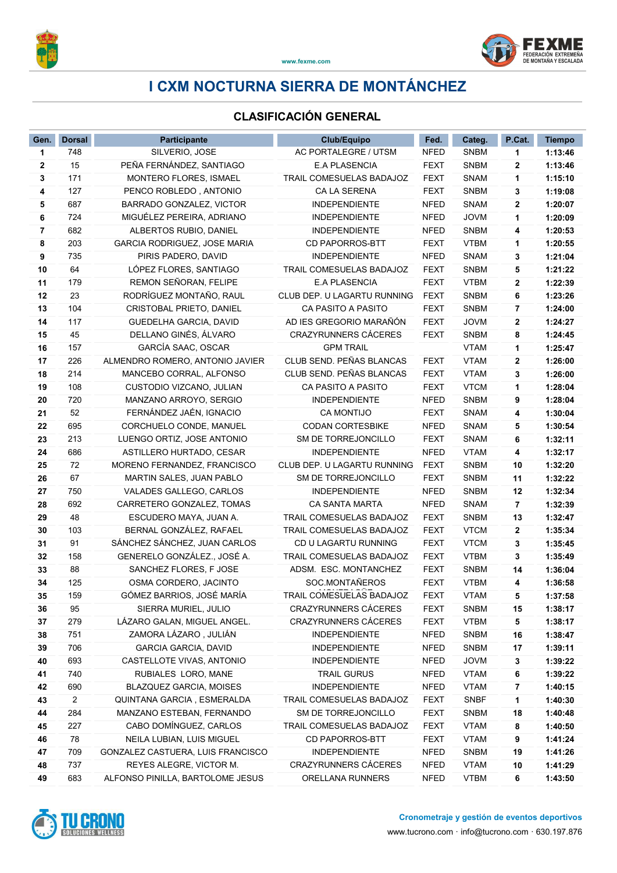

## I CXM NOCTURNA SIERRA DE MONTÁNCHEZ

## CLASIFICACIÓN GENERAL

| Gen.         | <b>Dorsal</b>  | <b>Participante</b>                                 | <b>Club/Equipo</b>                           | Fed.                       | Categ.                     | P.Cat.  | <b>Tiempo</b>      |
|--------------|----------------|-----------------------------------------------------|----------------------------------------------|----------------------------|----------------------------|---------|--------------------|
| 1            | 748            | SILVERIO, JOSE                                      | AC PORTALEGRE / UTSM                         | <b>NFED</b>                | <b>SNBM</b>                | 1       | 1:13:46            |
| $\mathbf{2}$ | 15             | PEÑA FERNÁNDEZ, SANTIAGO                            | <b>E.A PLASENCIA</b>                         | <b>FEXT</b>                | <b>SNBM</b>                | 2       | 1:13:46            |
| 3            | 171            | MONTERO FLORES, ISMAEL                              | TRAIL COMESUELAS BADAJOZ                     | <b>FEXT</b>                | <b>SNAM</b>                | 1       | 1:15:10            |
| 4            | 127            | PENCO ROBLEDO, ANTONIO                              | CA LA SERENA                                 | <b>FEXT</b>                | <b>SNBM</b>                | 3       | 1:19:08            |
| 5            | 687            | BARRADO GONZALEZ, VICTOR                            | <b>INDEPENDIENTE</b>                         | <b>NFED</b>                | SNAM                       | 2       | 1:20:07            |
| 6            | 724            | MIGUÉLEZ PEREIRA, ADRIANO                           | <b>INDEPENDIENTE</b>                         | NFED                       | <b>JOVM</b>                | 1       | 1:20:09            |
| 7            | 682            | ALBERTOS RUBIO, DANIEL                              | <b>INDEPENDIENTE</b>                         | <b>NFED</b>                | <b>SNBM</b>                | 4       | 1:20:53            |
| 8            | 203            | GARCIA RODRIGUEZ, JOSE MARIA                        | <b>CD PAPORROS-BTT</b>                       | <b>FEXT</b>                | <b>VTBM</b>                | 1       | 1:20:55            |
| 9            | 735            | PIRIS PADERO, DAVID                                 | <b>INDEPENDIENTE</b>                         | <b>NFED</b>                | <b>SNAM</b>                | 3       | 1:21:04            |
| 10           | 64             | LÓPEZ FLORES, SANTIAGO                              | TRAIL COMESUELAS BADAJOZ                     | <b>FEXT</b>                | <b>SNBM</b>                | 5       | 1:21:22            |
| 11           | 179            | REMON SEÑORAN, FELIPE                               | <b>E.A PLASENCIA</b>                         | <b>FEXT</b>                | <b>VTBM</b>                | 2       | 1:22:39            |
| 12           | 23             | RODRÍGUEZ MONTAÑO, RAUL                             | CLUB DEP. U LAGARTU RUNNING                  | <b>FEXT</b>                | <b>SNBM</b>                | 6       | 1:23:26            |
| 13           | 104            | CRISTOBAL PRIETO, DANIEL                            | CA PASITO A PASITO                           | <b>FEXT</b>                | <b>SNBM</b>                | 7       | 1:24:00            |
| 14           | 117            | GUEDELHA GARCIA, DAVID                              | AD IES GREGORIO MARAÑÓN                      | <b>FEXT</b>                | <b>JOVM</b>                | 2       | 1:24:27            |
| 15           | 45             | DELLANO GINÉS, ÁLVARO                               | <b>CRAZYRUNNERS CÁCERES</b>                  | <b>FEXT</b>                | <b>SNBM</b>                | 8       | 1:24:45            |
| 16           | 157            | GARCÍA SAAC, OSCAR                                  | <b>GPM TRAIL</b>                             |                            | <b>VTAM</b>                | 1       | 1:25:47            |
| 17           | 226            | ALMENDRO ROMERO, ANTONIO JAVIER                     | CLUB SEND. PEÑAS BLANCAS                     | <b>FEXT</b>                | <b>VTAM</b>                | 2       | 1:26:00            |
| 18           | 214            | MANCEBO CORRAL, ALFONSO                             | CLUB SEND. PEÑAS BLANCAS                     | <b>FEXT</b>                | <b>VTAM</b>                | 3       | 1:26:00            |
| 19           | 108            | CUSTODIO VIZCANO, JULIAN                            | CA PASITO A PASITO                           | <b>FEXT</b>                | <b>VTCM</b>                | 1       | 1:28:04            |
| 20           | 720            | MANZANO ARROYO, SERGIO                              | <b>INDEPENDIENTE</b>                         | <b>NFED</b>                | <b>SNBM</b>                | 9       | 1:28:04            |
| 21           | 52             | FERNÁNDEZ JAÉN, IGNACIO                             | <b>CA MONTIJO</b>                            | <b>FEXT</b>                | <b>SNAM</b>                | 4       | 1:30:04            |
| 22           | 695            | CORCHUELO CONDE, MANUEL                             | <b>CODAN CORTESBIKE</b>                      | <b>NFED</b>                | <b>SNAM</b>                | 5       | 1:30:54            |
| 23           | 213            | LUENGO ORTIZ, JOSE ANTONIO                          | SM DE TORREJONCILLO                          | <b>FEXT</b>                | <b>SNAM</b>                | 6       | 1:32:11            |
| 24           | 686            | ASTILLERO HURTADO, CESAR                            | <b>INDEPENDIENTE</b>                         | <b>NFED</b>                | <b>VTAM</b>                | 4       | 1:32:17            |
| 25           | 72             | MORENO FERNANDEZ, FRANCISCO                         | CLUB DEP. U LAGARTU RUNNING                  | <b>FEXT</b>                | <b>SNBM</b>                | 10      | 1:32:20            |
| 26           | 67             | MARTIN SALES, JUAN PABLO                            | SM DE TORREJONCILLO                          | <b>FEXT</b>                | <b>SNBM</b>                | 11      | 1:32:22            |
| 27           | 750            | VALADES GALLEGO, CARLOS                             | <b>INDEPENDIENTE</b>                         | NFED                       | <b>SNBM</b>                | 12      | 1:32:34            |
| 28           | 692            | CARRETERO GONZALEZ, TOMAS                           | CA SANTA MARTA                               | <b>NFED</b>                | <b>SNAM</b>                | 7       | 1:32:39            |
| 29           | 48             | ESCUDERO MAYA, JUAN A.                              | TRAIL COMESUELAS BADAJOZ                     | <b>FEXT</b>                | <b>SNBM</b>                | 13      | 1:32:47            |
| 30           | 103            | BERNAL GONZÁLEZ, RAFAEL                             | TRAIL COMESUELAS BADAJOZ                     | <b>FEXT</b>                | <b>VTCM</b>                | 2       | 1:35:34            |
| 31           | 91             | SÁNCHEZ SÁNCHEZ, JUAN CARLOS                        | CD U LAGARTU RUNNING                         | <b>FEXT</b>                | <b>VTCM</b>                | 3       | 1:35:45            |
| 32           | 158            | GENERELO GONZÁLEZ., JOSÉ A.                         | TRAIL COMESUELAS BADAJOZ                     | <b>FEXT</b>                | <b>VTBM</b>                | 3       | 1:35:49            |
| 33           | 88             | SANCHEZ FLORES, F JOSE                              | ADSM. ESC. MONTANCHEZ                        | <b>FEXT</b>                | <b>SNBM</b>                | 14      | 1:36:04            |
| 34           | 125            | OSMA CORDERO, JACINTO<br>GÓMEZ BARRIOS, JOSÉ MARÍA  | SOC.MONTAÑEROS<br>TRAIL COMESUELAS BADAJOZ   | <b>FEXT</b>                | <b>VTBM</b>                | 4       | 1:36:58            |
| 35           | 159            |                                                     |                                              | <b>FEXT</b><br><b>FEXT</b> | <b>VTAM</b>                | 5       | 1:37:58            |
| 36           | 95<br>279      | SIERRA MURIEL, JULIO<br>LÁZARO GALAN, MIGUEL ANGEL. | CRAZYRUNNERS CÁCERES<br>CRAZYRUNNERS CÁCERES | <b>FEXT</b>                | <b>SNBM</b><br><b>VTBM</b> | 15      | 1:38:17            |
| 37<br>38     | 751            | ZAMORA LÁZARO, JULIÁN                               | <b>INDEPENDIENTE</b>                         | <b>NFED</b>                | SNBM                       | 5<br>16 | 1:38:17<br>1:38:47 |
| 39           | 706            | <b>GARCIA GARCIA, DAVID</b>                         | <b>INDEPENDIENTE</b>                         | <b>NFED</b>                | <b>SNBM</b>                | 17      | 1:39:11            |
| 40           | 693            | CASTELLOTE VIVAS, ANTONIO                           | <b>INDEPENDIENTE</b>                         | <b>NFED</b>                | <b>JOVM</b>                | 3       | 1:39:22            |
| 41           | 740            | RUBIALES LORO, MANE                                 | <b>TRAIL GURUS</b>                           | <b>NFED</b>                | <b>VTAM</b>                | 6       | 1:39:22            |
| 42           | 690            | <b>BLAZQUEZ GARCIA, MOISES</b>                      | <b>INDEPENDIENTE</b>                         | <b>NFED</b>                | <b>VTAM</b>                | 7       | 1:40:15            |
| 43           | $\overline{2}$ | QUINTANA GARCIA, ESMERALDA                          | TRAIL COMESUELAS BADAJOZ                     | <b>FEXT</b>                | <b>SNBF</b>                | 1       | 1:40:30            |
| 44           | 284            | MANZANO ESTEBAN, FERNANDO                           | SM DE TORREJONCILLO                          | <b>FEXT</b>                | <b>SNBM</b>                | 18      | 1:40:48            |
| 45           | 227            | CABO DOMÍNGUEZ, CARLOS                              | TRAIL COMESUELAS BADAJOZ                     | <b>FEXT</b>                | <b>VTAM</b>                | 8       | 1:40:50            |
| 46           | 78             | NEILA LUBIAN, LUIS MIGUEL                           | <b>CD PAPORROS-BTT</b>                       | <b>FEXT</b>                | <b>VTAM</b>                | 9       | 1:41:24            |
| 47           | 709            | GONZALEZ CASTUERA, LUIS FRANCISCO                   | <b>INDEPENDIENTE</b>                         | <b>NFED</b>                | <b>SNBM</b>                | 19      | 1:41:26            |
| 48           | 737            | REYES ALEGRE, VICTOR M.                             | <b>CRAZYRUNNERS CÁCERES</b>                  | <b>NFED</b>                | <b>VTAM</b>                | 10      | 1:41:29            |
| 49           | 683            | ALFONSO PINILLA, BARTOLOME JESUS                    | ORELLANA RUNNERS                             | <b>NFED</b>                | <b>VTBM</b>                | 6       | 1:43:50            |

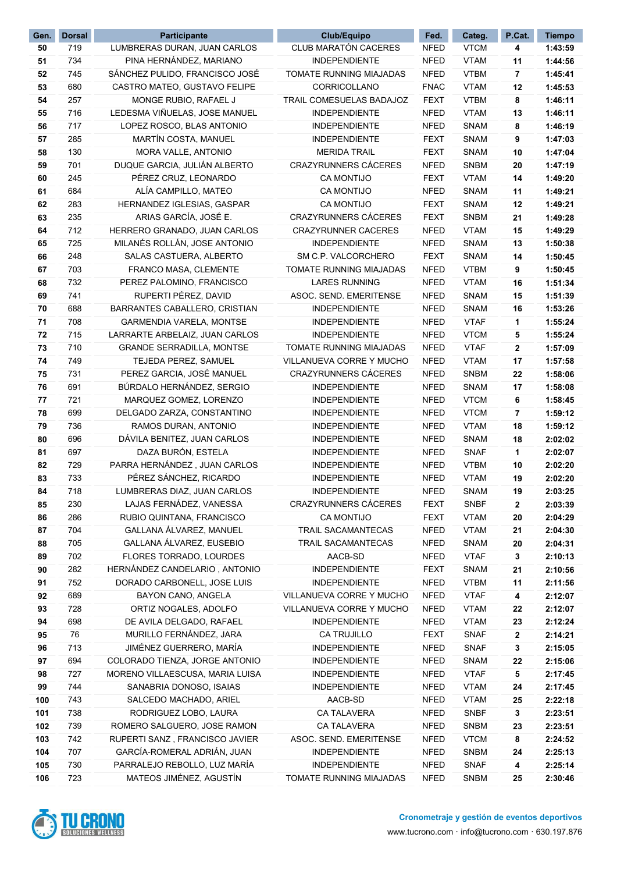| Gen.       | <b>Dorsal</b> | Participante                                                      | Club/Equipo                                  | Fed.                       | Categ.                     | P.Cat.   | <b>Tiempo</b>      |
|------------|---------------|-------------------------------------------------------------------|----------------------------------------------|----------------------------|----------------------------|----------|--------------------|
| 50         | 719           | LUMBRERAS DURAN, JUAN CARLOS                                      | CLUB MARATÓN CACERES                         | <b>NFED</b>                | <b>VTCM</b>                | 4        | 1:43:59            |
| 51         | 734           | PINA HERNÁNDEZ, MARIANO                                           | <b>INDEPENDIENTE</b>                         | <b>NFED</b>                | <b>VTAM</b>                | 11       | 1:44:56            |
| 52         | 745           | SÁNCHEZ PULIDO, FRANCISCO JOSÉ                                    | TOMATE RUNNING MIAJADAS                      | <b>NFED</b>                | <b>VTBM</b>                | 7        | 1:45:41            |
| 53         | 680           | CASTRO MATEO, GUSTAVO FELIPE                                      | CORRICOLLANO                                 | <b>FNAC</b>                | <b>VTAM</b>                | 12       | 1:45:53            |
| 54         | 257           | MONGE RUBIO, RAFAEL J                                             | TRAIL COMESUELAS BADAJOZ                     | <b>FEXT</b>                | <b>VTBM</b>                | 8        | 1:46:11            |
| 55         | 716           | LEDESMA VIÑUELAS, JOSE MANUEL                                     | <b>INDEPENDIENTE</b>                         | <b>NFED</b>                | <b>VTAM</b>                | 13       | 1:46:11            |
| 56         | 717           | LOPEZ ROSCO, BLAS ANTONIO                                         | <b>INDEPENDIENTE</b>                         | <b>NFED</b>                | <b>SNAM</b>                | 8        | 1:46:19            |
| 57         | 285           | MARTÍN COSTA, MANUEL                                              | <b>INDEPENDIENTE</b>                         | <b>FEXT</b>                | <b>SNAM</b>                | 9        | 1:47:03            |
| 58         | 130           | MORA VALLE, ANTONIO                                               | <b>MERIDA TRAIL</b>                          | <b>FEXT</b>                | <b>SNAM</b>                | 10       | 1:47:04            |
| 59         | 701           | DUQUE GARCIA, JULIÁN ALBERTO                                      | <b>CRAZYRUNNERS CÁCERES</b>                  | <b>NFED</b>                | <b>SNBM</b>                | 20       | 1:47:19            |
| 60         | 245           | PÉREZ CRUZ, LEONARDO                                              | <b>CA MONTIJO</b>                            | <b>FEXT</b>                | <b>VTAM</b>                | 14       | 1:49:20            |
| 61         | 684           | ALÍA CAMPILLO, MATEO                                              | <b>CA MONTIJO</b>                            | <b>NFED</b>                | <b>SNAM</b>                | 11       | 1:49:21            |
| 62         | 283           | HERNANDEZ IGLESIAS, GASPAR                                        | <b>CA MONTIJO</b>                            | <b>FEXT</b>                | <b>SNAM</b>                | 12       | 1:49:21            |
| 63         | 235           | ARIAS GARCÍA, JOSÉ E.                                             | <b>CRAZYRUNNERS CÁCERES</b>                  | <b>FEXT</b>                | <b>SNBM</b>                | 21       | 1:49:28            |
| 64         | 712           | HERRERO GRANADO, JUAN CARLOS                                      | <b>CRAZYRUNNER CACERES</b>                   | <b>NFED</b>                | <b>VTAM</b>                | 15       | 1:49:29            |
| 65         | 725           | MILANÉS ROLLÁN, JOSE ANTONIO                                      | <b>INDEPENDIENTE</b>                         | <b>NFED</b>                | <b>SNAM</b>                | 13       | 1:50:38            |
| 66         | 248           | SALAS CASTUERA, ALBERTO                                           | SM C.P. VALCORCHERO                          | <b>FEXT</b>                | <b>SNAM</b>                | 14       | 1:50:45            |
| 67         | 703           | FRANCO MASA, CLEMENTE                                             | TOMATE RUNNING MIAJADAS                      | <b>NFED</b>                | <b>VTBM</b>                | 9        | 1:50:45            |
| 68         | 732           | PEREZ PALOMINO, FRANCISCO                                         | <b>LARES RUNNING</b>                         | <b>NFED</b>                | <b>VTAM</b>                | 16       | 1:51:34            |
| 69         | 741           | RUPERTI PÉREZ, DAVID                                              | ASOC. SEND. EMERITENSE                       | <b>NFED</b>                | <b>SNAM</b>                | 15       | 1:51:39            |
| 70         | 688           | BARRANTES CABALLERO, CRISTIAN                                     | <b>INDEPENDIENTE</b>                         | NFED                       | <b>SNAM</b>                | 16       | 1:53:26            |
| 71         | 708           | GARMENDIA VARELA, MONTSE                                          | <b>INDEPENDIENTE</b>                         | <b>NFED</b>                | <b>VTAF</b>                | 1        | 1:55:24            |
| 72         | 715           | LARRARTE ARBELAIZ, JUAN CARLOS                                    | <b>INDEPENDIENTE</b>                         | <b>NFED</b>                | <b>VTCM</b>                | 5        | 1:55:24            |
| 73         | 710           | <b>GRANDE SERRADILLA, MONTSE</b>                                  | TOMATE RUNNING MIAJADAS                      | <b>NFED</b>                | <b>VTAF</b>                | 2        | 1:57:09            |
| 74         | 749           | TEJEDA PEREZ, SAMUEL                                              | VILLANUEVA CORRE Y MUCHO                     | <b>NFED</b>                | <b>VTAM</b>                | 17       | 1:57:58            |
| 75         | 731           | PEREZ GARCIA, JOSÉ MANUEL                                         | <b>CRAZYRUNNERS CÁCERES</b>                  | <b>NFED</b>                | <b>SNBM</b>                | 22       | 1:58:06            |
| 76         | 691           | BÚRDALO HERNÁNDEZ, SERGIO                                         | <b>INDEPENDIENTE</b>                         | <b>NFED</b>                | <b>SNAM</b>                | 17       | 1:58:08            |
| 77         | 721           | MARQUEZ GOMEZ, LORENZO                                            | <b>INDEPENDIENTE</b>                         | <b>NFED</b>                | <b>VTCM</b>                | 6        | 1:58:45            |
| 78         | 699           | DELGADO ZARZA, CONSTANTINO                                        | <b>INDEPENDIENTE</b>                         | <b>NFED</b>                | <b>VTCM</b>                | 7        | 1:59:12            |
| 79         | 736           | RAMOS DURAN, ANTONIO                                              | <b>INDEPENDIENTE</b>                         | NFED                       | <b>VTAM</b>                | 18       | 1:59:12            |
| 80         | 696           | DÁVILA BENITEZ, JUAN CARLOS                                       | <b>INDEPENDIENTE</b>                         | <b>NFED</b>                | <b>SNAM</b>                | 18       | 2:02:02            |
| 81         | 697           | DAZA BURÓN, ESTELA                                                | <b>INDEPENDIENTE</b>                         | <b>NFED</b>                | <b>SNAF</b>                | 1        | 2:02:07            |
| 82         | 729           | PARRA HERNÁNDEZ, JUAN CARLOS                                      | <b>INDEPENDIENTE</b>                         | <b>NFED</b>                | <b>VTBM</b>                | 10       | 2:02:20            |
| 83         | 733           | PÉREZ SÁNCHEZ, RICARDO                                            | <b>INDEPENDIENTE</b>                         | <b>NFED</b>                | <b>VTAM</b>                | 19       | 2:02:20            |
| 84         | 718           | LUMBRERAS DIAZ, JUAN CARLOS                                       | INDEPENDIENTE                                | <b>NFED</b>                | <b>SNAM</b>                | 19       | 2:03:25            |
| 85         | 230           | LAJAS FERNÁDEZ, VANESSA                                           | <b>CRAZYRUNNERS CÁCERES</b>                  | <b>FEXT</b>                | <b>SNBF</b>                | 2        | 2:03:39            |
| 86         | 286           | RUBIO QUINTANA, FRANCISCO                                         | <b>CA MONTIJO</b>                            | <b>FEXT</b>                | <b>VTAM</b>                | 20       | 2:04:29            |
| 87         | 704           | GALLANA ÁLVAREZ, MANUEL                                           | TRAIL SACAMANTECAS                           | <b>NFED</b>                | <b>VTAM</b>                | 21       | 2:04:30            |
| 88         | 705           | GALLANA ÁLVAREZ, EUSEBIO                                          | TRAIL SACAMANTECAS                           | <b>NFED</b>                | <b>SNAM</b>                | 20       | 2:04:31            |
| 89         | 702           | FLORES TORRADO, LOURDES                                           | AACB-SD                                      | <b>NFED</b>                | <b>VTAF</b>                | 3        | 2:10:13            |
| 90         | 282           | HERNÁNDEZ CANDELARIO, ANTONIO                                     | <b>INDEPENDIENTE</b>                         | <b>FEXT</b>                | <b>SNAM</b>                | 21       | 2:10:56            |
| 91         | 752           | DORADO CARBONELL, JOSE LUIS                                       | <b>INDEPENDIENTE</b>                         | <b>NFED</b>                | <b>VTBM</b>                | 11       | 2:11:56            |
| 92         | 689           | BAYON CANO, ANGELA                                                | VILLANUEVA CORRE Y MUCHO                     | <b>NFED</b>                | <b>VTAF</b>                | 4        | 2:12:07            |
| 93         | 728           | ORTIZ NOGALES, ADOLFO                                             | VILLANUEVA CORRE Y MUCHO                     | <b>NFED</b>                | <b>VTAM</b>                | 22       | 2:12:07            |
| 94         | 698           | DE AVILA DELGADO, RAFAEL                                          | <b>INDEPENDIENTE</b>                         | <b>NFED</b>                | <b>VTAM</b>                | 23       | 2:12:24            |
| 95         | 76            | MURILLO FERNÁNDEZ, JARA                                           | CA TRUJILLO                                  | <b>FEXT</b>                | <b>SNAF</b>                | 2        | 2:14:21            |
| 96         | 713           | JIMÉNEZ GUERRERO, MARÍA                                           | <b>INDEPENDIENTE</b>                         | <b>NFED</b>                | <b>SNAF</b>                | 3        | 2:15:05            |
| 97         | 694<br>727    | COLORADO TIENZA, JORGE ANTONIO<br>MORENO VILLAESCUSA, MARIA LUISA | <b>INDEPENDIENTE</b><br><b>INDEPENDIENTE</b> | <b>NFED</b><br><b>NFED</b> | <b>SNAM</b>                | 22       | 2:15:06            |
| 98         | 744           | SANABRIA DONOSO, ISAIAS                                           | <b>INDEPENDIENTE</b>                         | <b>NFED</b>                | <b>VTAF</b><br><b>VTAM</b> | 5        | 2:17:45            |
| 99<br>100  | 743           | SALCEDO MACHADO, ARIEL                                            | AACB-SD                                      | <b>NFED</b>                | <b>VTAM</b>                | 24<br>25 | 2:17:45<br>2:22:18 |
|            | 738           | RODRIGUEZ LOBO, LAURA                                             | <b>CA TALAVERA</b>                           | <b>NFED</b>                | <b>SNBF</b>                |          |                    |
| 101<br>102 | 739           | ROMERO SALGUERO, JOSE RAMON                                       | <b>CA TALAVERA</b>                           | <b>NFED</b>                |                            | 3        | 2:23:51            |
| 103        | 742           | RUPERTI SANZ, FRANCISCO JAVIER                                    | ASOC. SEND. EMERITENSE                       | <b>NFED</b>                | <b>SNBM</b><br><b>VTCM</b> | 23<br>8  | 2:23:51<br>2:24:52 |
| 104        | 707           | GARCÍA-ROMERAL ADRIÁN, JUAN                                       | <b>INDEPENDIENTE</b>                         | <b>NFED</b>                | <b>SNBM</b>                | 24       | 2:25:13            |
| 105        | 730           | PARRALEJO REBOLLO, LUZ MARÍA                                      | <b>INDEPENDIENTE</b>                         | <b>NFED</b>                | <b>SNAF</b>                | 4        | 2:25:14            |
| 106        | 723           | MATEOS JIMÉNEZ, AGUSTÍN                                           | TOMATE RUNNING MIAJADAS                      | <b>NFED</b>                | <b>SNBM</b>                | 25       | 2:30:46            |
|            |               |                                                                   |                                              |                            |                            |          |                    |